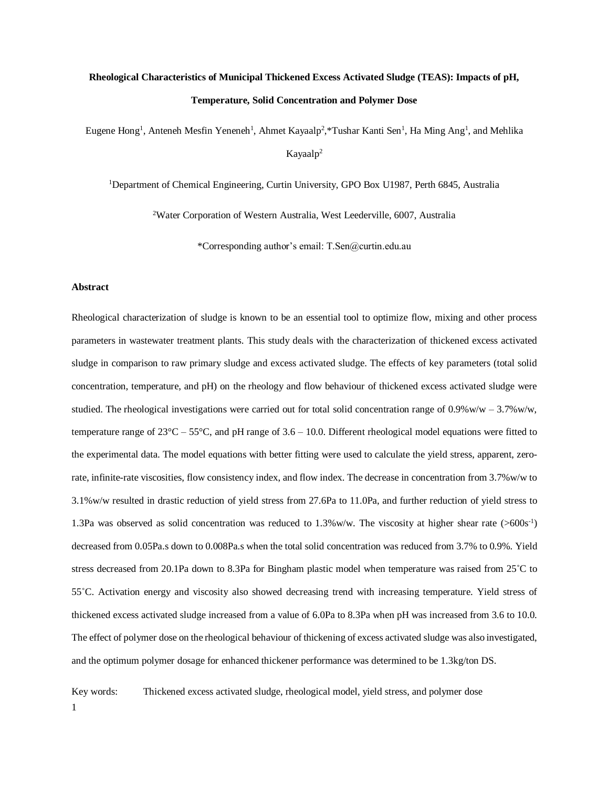# **Rheological Characteristics of Municipal Thickened Excess Activated Sludge (TEAS): Impacts of pH, Temperature, Solid Concentration and Polymer Dose**

Eugene Hong<sup>1</sup>, Anteneh Mesfin Yeneneh<sup>1</sup>, Ahmet Kayaalp<sup>2</sup>,\*Tushar Kanti Sen<sup>1</sup>, Ha Ming Ang<sup>1</sup>, and Mehlika Kayaalp<sup>2</sup>

<sup>1</sup>Department of Chemical Engineering, Curtin University, GPO Box U1987, Perth 6845, Australia

<sup>2</sup>Water Corporation of Western Australia, West Leederville, 6007, Australia

\*Corresponding author's email: T.Sen@curtin.edu.au

#### **Abstract**

Rheological characterization of sludge is known to be an essential tool to optimize flow, mixing and other process parameters in wastewater treatment plants. This study deals with the characterization of thickened excess activated sludge in comparison to raw primary sludge and excess activated sludge. The effects of key parameters (total solid concentration, temperature, and pH) on the rheology and flow behaviour of thickened excess activated sludge were studied. The rheological investigations were carried out for total solid concentration range of  $0.9\%$  w/w –  $3.7\%$  w/w, temperature range of  $23^{\circ}$ C –  $55^{\circ}$ C, and pH range of 3.6 – 10.0. Different rheological model equations were fitted to the experimental data. The model equations with better fitting were used to calculate the yield stress, apparent, zerorate, infinite-rate viscosities, flow consistency index, and flow index. The decrease in concentration from 3.7%w/w to 3.1%w/w resulted in drastic reduction of yield stress from 27.6Pa to 11.0Pa, and further reduction of yield stress to 1.3Pa was observed as solid concentration was reduced to  $1.3\%$  w/w. The viscosity at higher shear rate (>600s<sup>-1</sup>) decreased from 0.05Pa.s down to 0.008Pa.s when the total solid concentration was reduced from 3.7% to 0.9%. Yield stress decreased from 20.1Pa down to 8.3Pa for Bingham plastic model when temperature was raised from 25˚C to 55˚C. Activation energy and viscosity also showed decreasing trend with increasing temperature. Yield stress of thickened excess activated sludge increased from a value of 6.0Pa to 8.3Pa when pH was increased from 3.6 to 10.0. The effect of polymer dose on the rheological behaviour of thickening of excess activated sludge was also investigated, and the optimum polymer dosage for enhanced thickener performance was determined to be 1.3kg/ton DS.

1 Key words: Thickened excess activated sludge, rheological model, yield stress, and polymer dose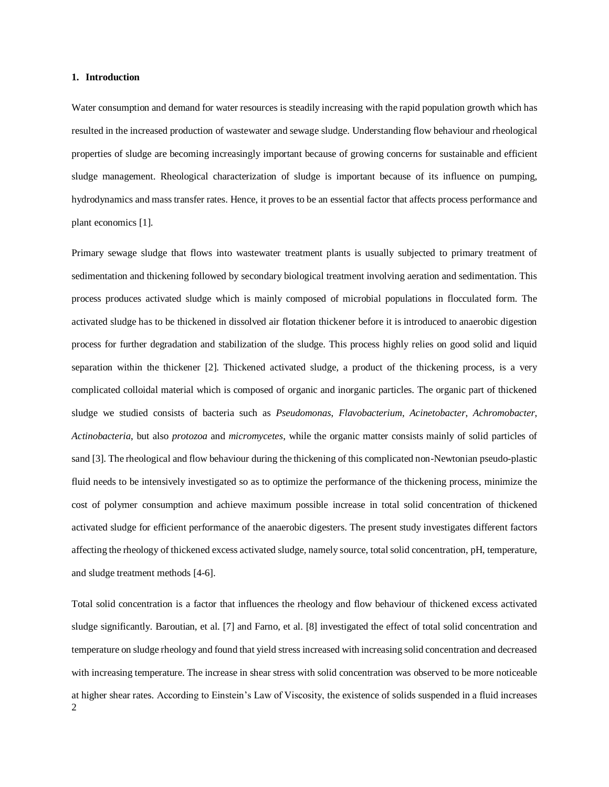#### **1. Introduction**

Water consumption and demand for water resources is steadily increasing with the rapid population growth which has resulted in the increased production of wastewater and sewage sludge. Understanding flow behaviour and rheological properties of sludge are becoming increasingly important because of growing concerns for sustainable and efficient sludge management. Rheological characterization of sludge is important because of its influence on pumping, hydrodynamics and mass transfer rates. Hence, it proves to be an essential factor that affects process performance and plant economics [1].

Primary sewage sludge that flows into wastewater treatment plants is usually subjected to primary treatment of sedimentation and thickening followed by secondary biological treatment involving aeration and sedimentation. This process produces activated sludge which is mainly composed of microbial populations in flocculated form. The activated sludge has to be thickened in dissolved air flotation thickener before it is introduced to anaerobic digestion process for further degradation and stabilization of the sludge. This process highly relies on good solid and liquid separation within the thickener [2]. Thickened activated sludge, a product of the thickening process, is a very complicated colloidal material which is composed of organic and inorganic particles. The organic part of thickened sludge we studied consists of bacteria such as *Pseudomonas*, *Flavobacterium*, *Acinetobacter*, *Achromobacter*, *Actinobacteria*, but also *protozoa* and *micromycetes*, while the organic matter consists mainly of solid particles of sand [3]. The rheological and flow behaviour during the thickening of this complicated non-Newtonian pseudo-plastic fluid needs to be intensively investigated so as to optimize the performance of the thickening process, minimize the cost of polymer consumption and achieve maximum possible increase in total solid concentration of thickened activated sludge for efficient performance of the anaerobic digesters. The present study investigates different factors affecting the rheology of thickened excess activated sludge, namely source, total solid concentration, pH, temperature, and sludge treatment methods [4-6].

2 Total solid concentration is a factor that influences the rheology and flow behaviour of thickened excess activated sludge significantly. Baroutian, et al. [7] and Farno, et al. [8] investigated the effect of total solid concentration and temperature on sludge rheology and found that yield stress increased with increasing solid concentration and decreased with increasing temperature. The increase in shear stress with solid concentration was observed to be more noticeable at higher shear rates. According to Einstein's Law of Viscosity, the existence of solids suspended in a fluid increases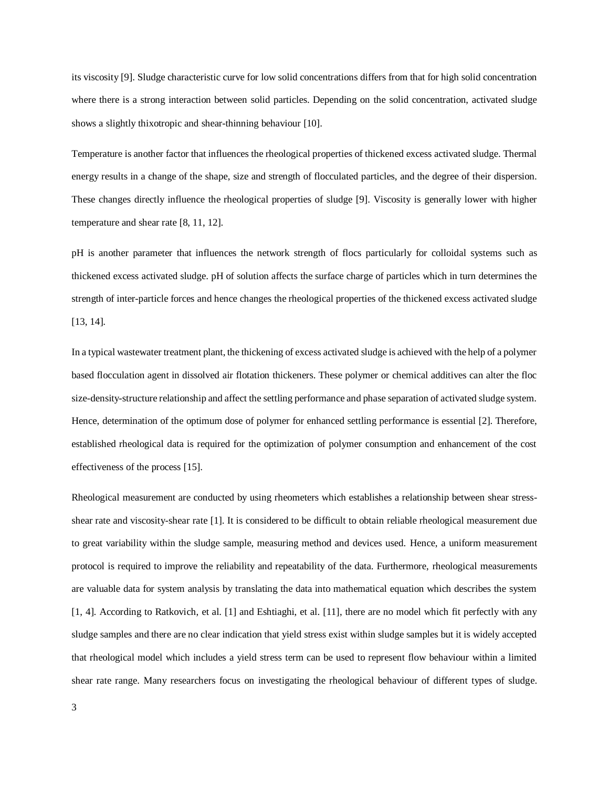its viscosity [9]. Sludge characteristic curve for low solid concentrations differs from that for high solid concentration where there is a strong interaction between solid particles. Depending on the solid concentration, activated sludge shows a slightly thixotropic and shear-thinning behaviour [10].

Temperature is another factor that influences the rheological properties of thickened excess activated sludge. Thermal energy results in a change of the shape, size and strength of flocculated particles, and the degree of their dispersion. These changes directly influence the rheological properties of sludge [9]. Viscosity is generally lower with higher temperature and shear rate [8, 11, 12].

pH is another parameter that influences the network strength of flocs particularly for colloidal systems such as thickened excess activated sludge. pH of solution affects the surface charge of particles which in turn determines the strength of inter-particle forces and hence changes the rheological properties of the thickened excess activated sludge [13, 14].

In a typical wastewater treatment plant, the thickening of excess activated sludge is achieved with the help of a polymer based flocculation agent in dissolved air flotation thickeners. These polymer or chemical additives can alter the floc size-density-structure relationship and affect the settling performance and phase separation of activated sludge system. Hence, determination of the optimum dose of polymer for enhanced settling performance is essential [2]. Therefore, established rheological data is required for the optimization of polymer consumption and enhancement of the cost effectiveness of the process [15].

Rheological measurement are conducted by using rheometers which establishes a relationship between shear stressshear rate and viscosity-shear rate [1]. It is considered to be difficult to obtain reliable rheological measurement due to great variability within the sludge sample, measuring method and devices used. Hence, a uniform measurement protocol is required to improve the reliability and repeatability of the data. Furthermore, rheological measurements are valuable data for system analysis by translating the data into mathematical equation which describes the system [1, 4]. According to Ratkovich, et al. [1] and Eshtiaghi, et al. [11], there are no model which fit perfectly with any sludge samples and there are no clear indication that yield stress exist within sludge samples but it is widely accepted that rheological model which includes a yield stress term can be used to represent flow behaviour within a limited shear rate range. Many researchers focus on investigating the rheological behaviour of different types of sludge.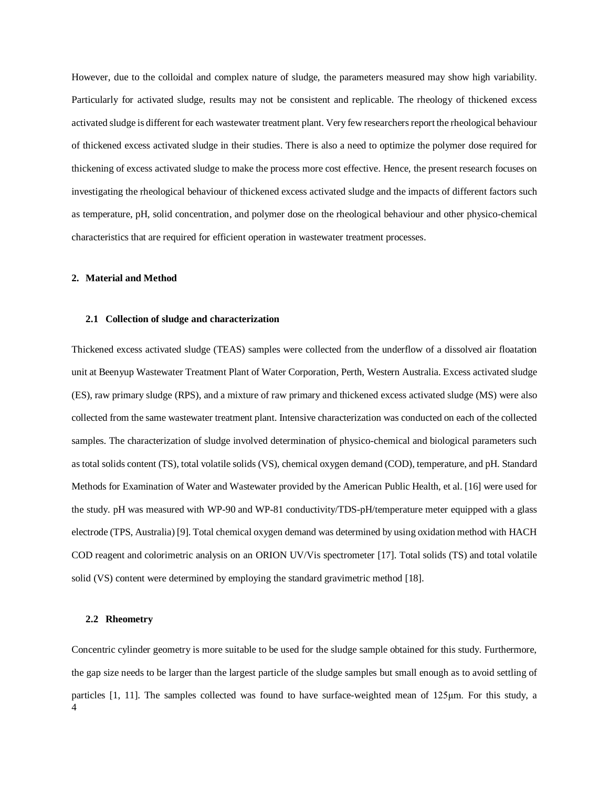However, due to the colloidal and complex nature of sludge, the parameters measured may show high variability. Particularly for activated sludge, results may not be consistent and replicable. The rheology of thickened excess activated sludge is different for each wastewater treatment plant. Very few researchers report the rheological behaviour of thickened excess activated sludge in their studies. There is also a need to optimize the polymer dose required for thickening of excess activated sludge to make the process more cost effective. Hence, the present research focuses on investigating the rheological behaviour of thickened excess activated sludge and the impacts of different factors such as temperature, pH, solid concentration, and polymer dose on the rheological behaviour and other physico-chemical characteristics that are required for efficient operation in wastewater treatment processes.

## **2. Material and Method**

#### **2.1 Collection of sludge and characterization**

Thickened excess activated sludge (TEAS) samples were collected from the underflow of a dissolved air floatation unit at Beenyup Wastewater Treatment Plant of Water Corporation, Perth, Western Australia. Excess activated sludge (ES), raw primary sludge (RPS), and a mixture of raw primary and thickened excess activated sludge (MS) were also collected from the same wastewater treatment plant. Intensive characterization was conducted on each of the collected samples. The characterization of sludge involved determination of physico-chemical and biological parameters such as total solids content (TS), total volatile solids (VS), chemical oxygen demand (COD), temperature, and pH. Standard Methods for Examination of Water and Wastewater provided by the American Public Health, et al. [16] were used for the study. pH was measured with WP-90 and WP-81 conductivity/TDS-pH/temperature meter equipped with a glass electrode (TPS, Australia) [9]. Total chemical oxygen demand was determined by using oxidation method with HACH COD reagent and colorimetric analysis on an ORION UV/Vis spectrometer [17]. Total solids (TS) and total volatile solid (VS) content were determined by employing the standard gravimetric method [18].

#### **2.2 Rheometry**

4 Concentric cylinder geometry is more suitable to be used for the sludge sample obtained for this study. Furthermore, the gap size needs to be larger than the largest particle of the sludge samples but small enough as to avoid settling of particles [1, 11]. The samples collected was found to have surface-weighted mean of 125μm. For this study, a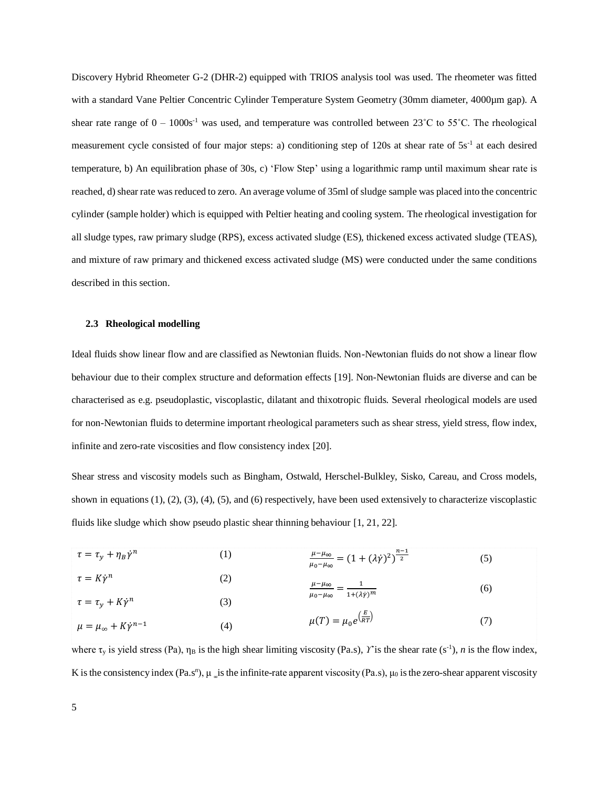Discovery Hybrid Rheometer G-2 (DHR-2) equipped with TRIOS analysis tool was used. The rheometer was fitted with a standard Vane Peltier Concentric Cylinder Temperature System Geometry (30mm diameter, 4000µm gap). A shear rate range of  $0 - 1000s<sup>-1</sup>$  was used, and temperature was controlled between 23°C to 55°C. The rheological measurement cycle consisted of four major steps: a) conditioning step of 120s at shear rate of 5s<sup>-1</sup> at each desired temperature, b) An equilibration phase of 30s, c) 'Flow Step' using a logarithmic ramp until maximum shear rate is reached, d) shear rate was reduced to zero. An average volume of 35ml of sludge sample was placed into the concentric cylinder (sample holder) which is equipped with Peltier heating and cooling system. The rheological investigation for all sludge types, raw primary sludge (RPS), excess activated sludge (ES), thickened excess activated sludge (TEAS), and mixture of raw primary and thickened excess activated sludge (MS) were conducted under the same conditions described in this section.

#### **2.3 Rheological modelling**

Ideal fluids show linear flow and are classified as Newtonian fluids. Non-Newtonian fluids do not show a linear flow behaviour due to their complex structure and deformation effects [19]. Non-Newtonian fluids are diverse and can be characterised as e.g. pseudoplastic, viscoplastic, dilatant and thixotropic fluids. Several rheological models are used for non-Newtonian fluids to determine important rheological parameters such as shear stress, yield stress, flow index, infinite and zero-rate viscosities and flow consistency index [20].

Shear stress and viscosity models such as Bingham, Ostwald, Herschel-Bulkley, Sisko, Careau, and Cross models, shown in equations (1), (2), (3), (4), (5), and (6) respectively, have been used extensively to characterize viscoplastic fluids like sludge which show pseudo plastic shear thinning behaviour [1, 21, 22].

| $\tau = \tau_y + \eta_B \dot{\gamma}^n$    | $\left(1\right)$ | $\frac{\mu-\mu_{\infty}}{\mu_0-\mu_{\infty}} = (1+(\lambda \dot{\gamma})^2)^{\frac{n-1}{2}}$ | (5) |
|--------------------------------------------|------------------|----------------------------------------------------------------------------------------------|-----|
| $\tau = K\dot{\gamma}^n$                   | (2)              | $\frac{\mu-\mu_{\infty}}{\mu} = \frac{1}{\mu_{\infty}}$                                      | (6) |
| $\tau = \tau_y + K\dot{\gamma}^n$          | (3)              | $\mu_0 - \mu_\infty$ $ 1 + (\lambda \dot{\gamma})^m$                                         |     |
| $\mu = \mu_{\infty} + K\dot{\gamma}^{n-1}$ | (4)              | $\mu(T) = \mu_0 e^{\left(\frac{E}{RT}\right)}$                                               |     |

where  $\tau_y$  is yield stress (Pa),  $\eta_B$  is the high shear limiting viscosity (Pa.s), *Y* is the shear rate (s<sup>-1</sup>), *n* is the flow index, K is the consistency index (Pa.s<sup>*n*</sup>),  $\mu$  is the infinite-rate apparent viscosity (Pa.s),  $\mu_0$  is the zero-shear apparent viscosity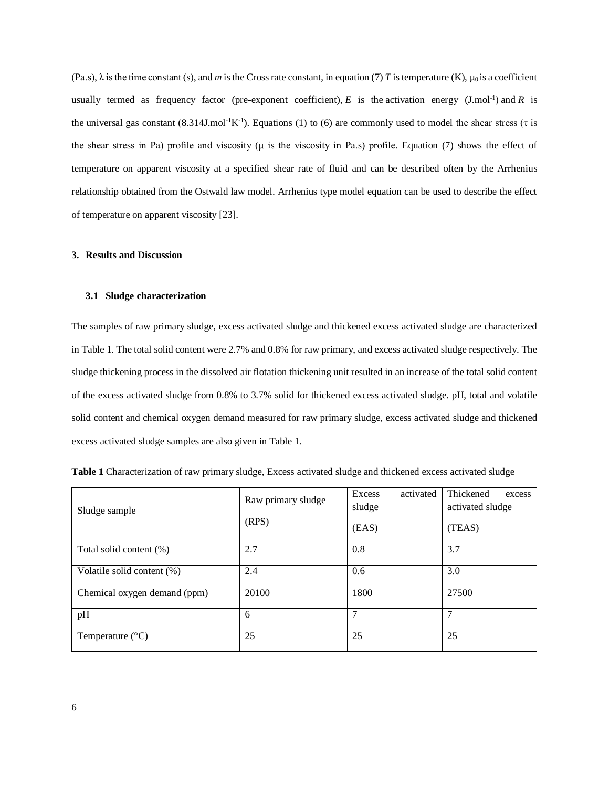$(Pa.s)$ ,  $\lambda$  is the time constant (s), and *m* is the Cross rate constant, in equation (7) *T* is temperature (K),  $\mu_0$  is a coefficient usually termed as frequency factor (pre-exponent coefficient),  $E$  is the activation energy (J.mol<sup>-1</sup>) and  $R$  is the universal gas constant  $(8.314J \text{.mol}^{-1} \text{K}^{-1})$ . Equations (1) to (6) are commonly used to model the shear stress ( $\tau$  is the shear stress in Pa) profile and viscosity ( $\mu$  is the viscosity in Pa.s) profile. Equation (7) shows the effect of temperature on apparent viscosity at a specified shear rate of fluid and can be described often by the Arrhenius relationship obtained from the Ostwald law model. Arrhenius type model equation can be used to describe the effect of temperature on apparent viscosity [23].

#### **3. Results and Discussion**

#### **3.1 Sludge characterization**

The samples of raw primary sludge, excess activated sludge and thickened excess activated sludge are characterized in Table 1. The total solid content were 2.7% and 0.8% for raw primary, and excess activated sludge respectively. The sludge thickening process in the dissolved air flotation thickening unit resulted in an increase of the total solid content of the excess activated sludge from 0.8% to 3.7% solid for thickened excess activated sludge. pH, total and volatile solid content and chemical oxygen demand measured for raw primary sludge, excess activated sludge and thickened excess activated sludge samples are also given in Table 1.

| Sludge sample                | Raw primary sludge | activated<br>Excess<br>sludge | Thickened<br>excess<br>activated sludge |
|------------------------------|--------------------|-------------------------------|-----------------------------------------|
|                              | (RPS)              | (EAS)                         | (TEAS)                                  |
| Total solid content (%)      | 2.7                | 0.8                           | 3.7                                     |
| Volatile solid content (%)   | 2.4                | 0.6                           | 3.0                                     |
| Chemical oxygen demand (ppm) | 20100              | 1800                          | 27500                                   |
| pH                           | 6                  | 7                             | 7                                       |
| Temperature $(^{\circ}C)$    | 25                 | 25                            | 25                                      |

**Table 1** Characterization of raw primary sludge, Excess activated sludge and thickened excess activated sludge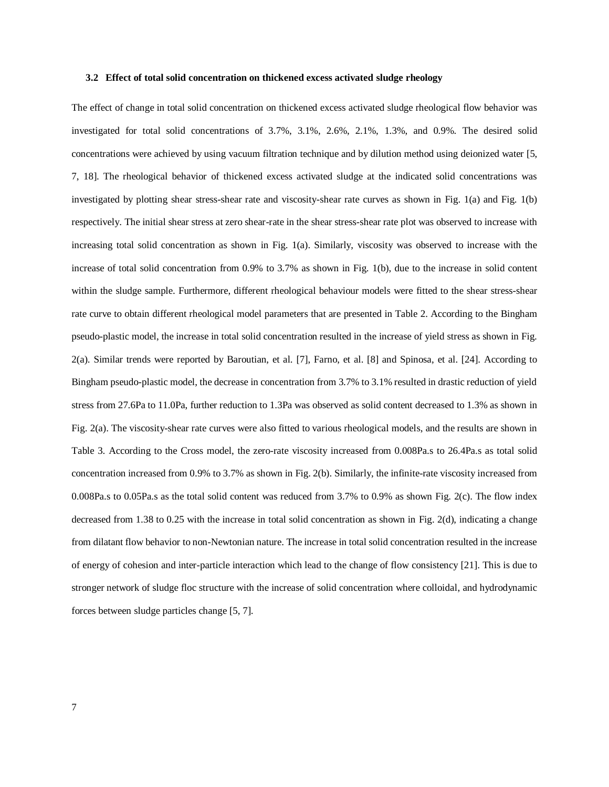#### **3.2 Effect of total solid concentration on thickened excess activated sludge rheology**

The effect of change in total solid concentration on thickened excess activated sludge rheological flow behavior was investigated for total solid concentrations of 3.7%, 3.1%, 2.6%, 2.1%, 1.3%, and 0.9%. The desired solid concentrations were achieved by using vacuum filtration technique and by dilution method using deionized water [5, 7, 18]. The rheological behavior of thickened excess activated sludge at the indicated solid concentrations was investigated by plotting shear stress-shear rate and viscosity-shear rate curves as shown in Fig. 1(a) and Fig. 1(b) respectively. The initial shear stress at zero shear-rate in the shear stress-shear rate plot was observed to increase with increasing total solid concentration as shown in Fig. 1(a). Similarly, viscosity was observed to increase with the increase of total solid concentration from 0.9% to 3.7% as shown in Fig. 1(b), due to the increase in solid content within the sludge sample. Furthermore, different rheological behaviour models were fitted to the shear stress-shear rate curve to obtain different rheological model parameters that are presented in Table 2. According to the Bingham pseudo-plastic model, the increase in total solid concentration resulted in the increase of yield stress as shown in Fig. 2(a). Similar trends were reported by Baroutian, et al. [7], Farno, et al. [8] and Spinosa, et al. [24]. According to Bingham pseudo-plastic model, the decrease in concentration from 3.7% to 3.1% resulted in drastic reduction of yield stress from 27.6Pa to 11.0Pa, further reduction to 1.3Pa was observed as solid content decreased to 1.3% as shown in Fig. 2(a). The viscosity-shear rate curves were also fitted to various rheological models, and the results are shown in Table 3. According to the Cross model, the zero-rate viscosity increased from 0.008Pa.s to 26.4Pa.s as total solid concentration increased from 0.9% to 3.7% as shown in Fig. 2(b). Similarly, the infinite-rate viscosity increased from 0.008Pa.s to 0.05Pa.s as the total solid content was reduced from 3.7% to 0.9% as shown Fig. 2(c). The flow index decreased from 1.38 to 0.25 with the increase in total solid concentration as shown in Fig. 2(d), indicating a change from dilatant flow behavior to non-Newtonian nature. The increase in total solid concentration resulted in the increase of energy of cohesion and inter-particle interaction which lead to the change of flow consistency [21]. This is due to stronger network of sludge floc structure with the increase of solid concentration where colloidal, and hydrodynamic forces between sludge particles change [5, 7].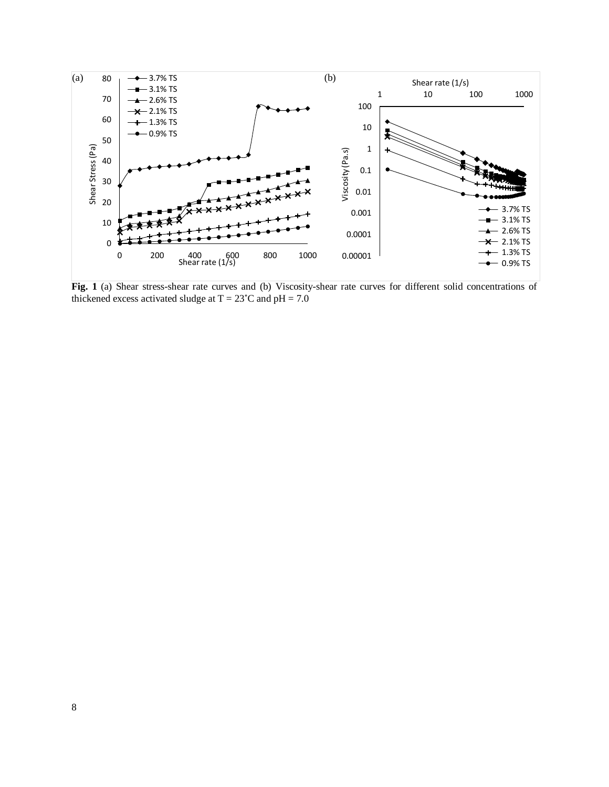

**Fig. 1** (a) Shear stress-shear rate curves and (b) Viscosity-shear rate curves for different solid concentrations of thickened excess activated sludge at  $T = 23^{\circ}$ C and pH = 7.0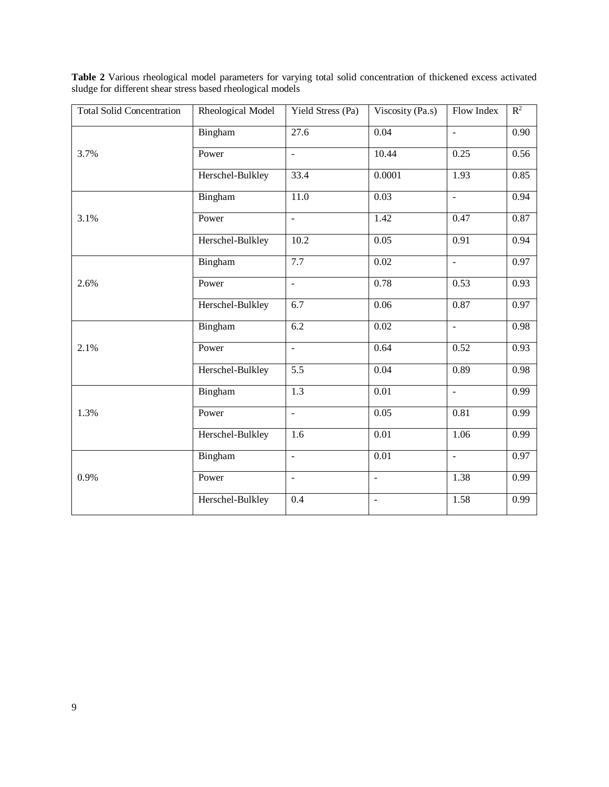| <b>Total Solid Concentration</b> | Rheological Model | Yield Stress (Pa)        | Viscosity (Pa.s)  | Flow Index               | $R^2$ |
|----------------------------------|-------------------|--------------------------|-------------------|--------------------------|-------|
|                                  | Bingham           | 27.6                     | 0.04              | $\overline{a}$           | 0.90  |
| 3.7%                             | Power             | $\Box$                   | 10.44             | 0.25                     | 0.56  |
|                                  | Herschel-Bulkley  | 33.4                     | 0.0001            | 1.93                     | 0.85  |
|                                  | Bingham           | $\overline{11.0}$        | 0.03              | $\Box$                   | 0.94  |
| 3.1%                             | Power             | $\overline{a}$           | 1.42              | 0.47                     | 0.87  |
|                                  | Herschel-Bulkley  | 10.2                     | 0.05              | 0.91                     | 0.94  |
|                                  | Bingham           | 7.7                      | 0.02              | $\overline{\phantom{a}}$ | 0.97  |
| 2.6%                             | Power             | $\overline{\phantom{a}}$ | 0.78              | 0.53                     | 0.93  |
|                                  | Herschel-Bulkley  | $\overline{6.7}$         | $\overline{0.06}$ | 0.87                     | 0.97  |
|                                  | Bingham           | 6.2                      | 0.02              | $\overline{a}$           | 0.98  |
| 2.1%                             | Power             | ÷,                       | 0.64              | 0.52                     | 0.93  |
|                                  | Herschel-Bulkley  | $\overline{5.5}$         | 0.04              | 0.89                     | 0.98  |
|                                  | Bingham           | 1.3                      | $\overline{0.01}$ | $\overline{a}$           | 0.99  |
| 1.3%                             | Power             | $\frac{1}{2}$            | 0.05              | 0.81                     | 0.99  |
|                                  | Herschel-Bulkley  | $\overline{1.6}$         | $\overline{0.01}$ | 1.06                     | 0.99  |
|                                  | Bingham           | $\blacksquare$           | 0.01              | $\blacksquare$           | 0.97  |
| 0.9%                             | Power             | $\equiv$                 | $\equiv$          | 1.38                     | 0.99  |
|                                  | Herschel-Bulkley  | 0.4                      | $\Box$            | 1.58                     | 0.99  |

**Table 2** Various rheological model parameters for varying total solid concentration of thickened excess activated sludge for different shear stress based rheological models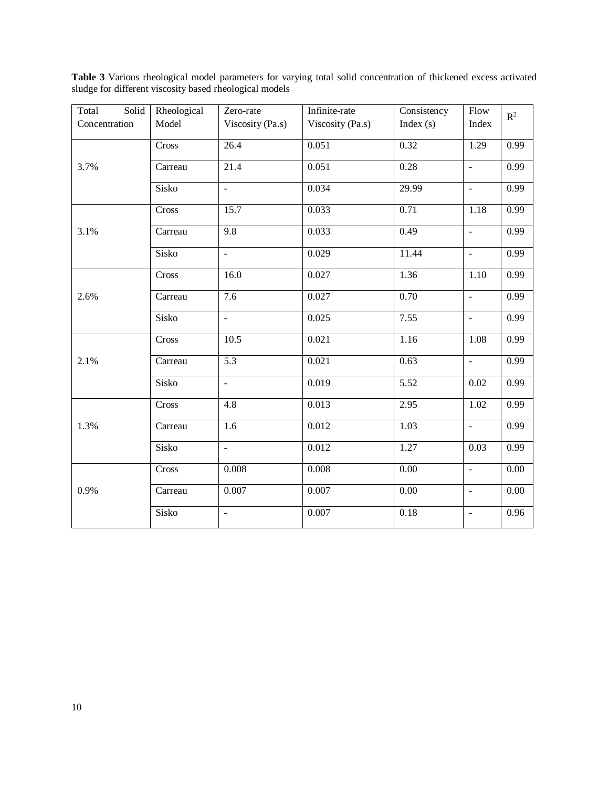| Total<br>Solid | Rheological | Zero-rate                | Infinite-rate    | Consistency       | Flow                     | $R^2$    |
|----------------|-------------|--------------------------|------------------|-------------------|--------------------------|----------|
| Concentration  | Model       | Viscosity (Pa.s)         | Viscosity (Pa.s) | Index $(s)$       | Index                    |          |
|                | Cross       | 26.4                     | 0.051            | 0.32              | 1.29                     | 0.99     |
|                |             |                          |                  |                   |                          |          |
| 3.7%           | Carreau     | 21.4                     | 0.051            | 0.28              | $\Box$                   | 0.99     |
|                | Sisko       | $\Box$                   | 0.034            | 29.99             | $\overline{\phantom{a}}$ | 0.99     |
|                |             |                          |                  |                   |                          |          |
|                | Cross       | 15.7                     | 0.033            | 0.71              | 1.18                     | 0.99     |
| 3.1%           | Carreau     | $\overline{9.8}$         | 0.033            | 0.49              | $\omega$                 | 0.99     |
|                |             |                          |                  |                   |                          |          |
|                | Sisko       | $\omega$                 | 0.029            | 11.44             | $\sim$                   | 0.99     |
|                | Cross       | 16.0                     | 0.027            | 1.36              | 1.10                     | 0.99     |
|                |             |                          |                  |                   |                          |          |
| 2.6%           | Carreau     | 7.6                      | 0.027            | $\overline{0.70}$ | $\blacksquare$           | 0.99     |
|                | Sisko       | $\overline{\phantom{a}}$ | 0.025            | 7.55              | $\overline{\phantom{a}}$ | 0.99     |
|                | Cross       | 10.5                     | 0.021            | 1.16              | 1.08                     | 0.99     |
|                |             |                          |                  |                   |                          |          |
| 2.1%           | Carreau     | $\overline{5.3}$         | 0.021            | 0.63              | $\mathbf{u}$             | 0.99     |
|                | Sisko       | $\bar{\phantom{a}}$      | 0.019            | $\overline{5.52}$ | 0.02                     | 0.99     |
|                |             |                          |                  |                   |                          |          |
|                | Cross       | 4.8                      | 0.013            | 2.95              | 1.02                     | 0.99     |
| 1.3%           | Carreau     | $\overline{1.6}$         | 0.012            | 1.03              | $\equiv$                 | 0.99     |
|                |             |                          |                  |                   |                          |          |
|                | Sisko       | $\overline{a}$           | 0.012            | 1.27              | 0.03                     | 0.99     |
|                | Cross       | 0.008                    | 0.008            | 0.00              | $\mathbf{r}$             | 0.00     |
|                |             |                          |                  |                   |                          |          |
| 0.9%           | Carreau     | 0.007                    | 0.007            | 0.00              | $\blacksquare$           | $0.00\,$ |
|                | Sisko       | $\overline{\phantom{a}}$ | 0.007            | 0.18              | $\blacksquare$           | 0.96     |
|                |             |                          |                  |                   |                          |          |

**Table 3** Various rheological model parameters for varying total solid concentration of thickened excess activated sludge for different viscosity based rheological models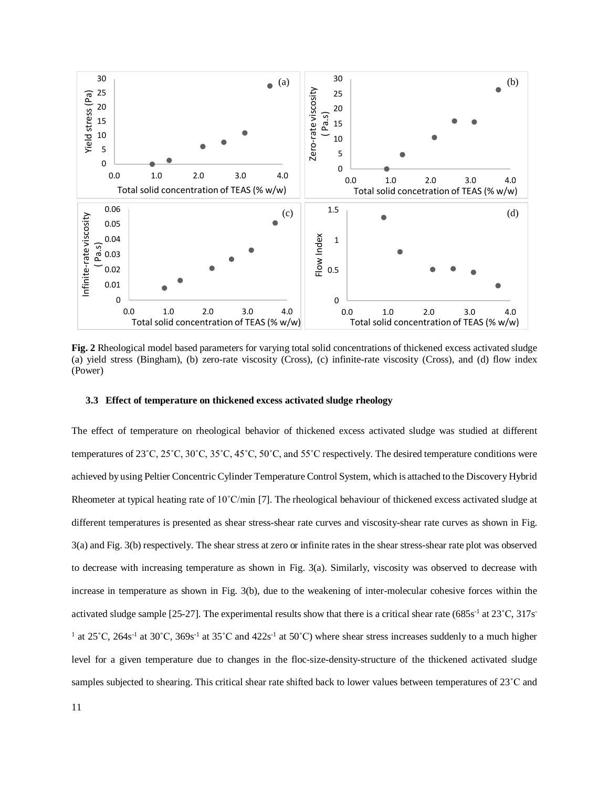

**Fig. 2** Rheological model based parameters for varying total solid concentrations of thickened excess activated sludge (a) yield stress (Bingham), (b) zero-rate viscosity (Cross), (c) infinite-rate viscosity (Cross), and (d) flow index (Power)

#### **3.3 Effect of temperature on thickened excess activated sludge rheology**

The effect of temperature on rheological behavior of thickened excess activated sludge was studied at different temperatures of 23˚C, 25˚C, 30˚C, 35˚C, 45˚C, 50˚C, and 55˚C respectively. The desired temperature conditions were achieved by using Peltier Concentric Cylinder Temperature Control System, which is attached to the Discovery Hybrid Rheometer at typical heating rate of 10˚C/min [7]. The rheological behaviour of thickened excess activated sludge at different temperatures is presented as shear stress-shear rate curves and viscosity-shear rate curves as shown in Fig. 3(a) and Fig. 3(b) respectively. The shear stress at zero or infinite rates in the shear stress-shear rate plot was observed to decrease with increasing temperature as shown in Fig. 3(a). Similarly, viscosity was observed to decrease with increase in temperature as shown in Fig. 3(b), due to the weakening of inter-molecular cohesive forces within the activated sludge sample [25-27]. The experimental results show that there is a critical shear rate (685s<sup>-1</sup> at 23°C, 317s<sup>-</sup> <sup>1</sup> at 25°C, 264s<sup>-1</sup> at 30°C, 369s<sup>-1</sup> at 35°C and 422s<sup>-1</sup> at 50°C) where shear stress increases suddenly to a much higher level for a given temperature due to changes in the floc-size-density-structure of the thickened activated sludge samples subjected to shearing. This critical shear rate shifted back to lower values between temperatures of 23<sup>°</sup>C and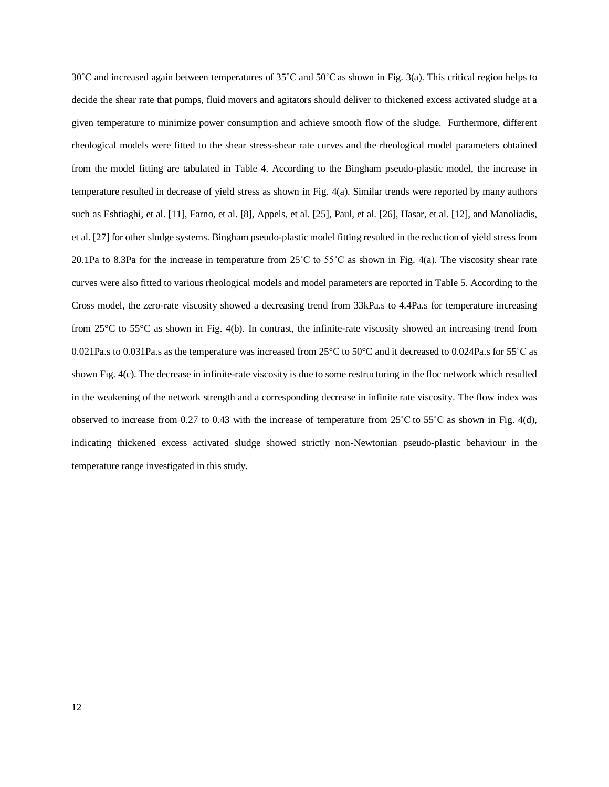30˚C and increased again between temperatures of 35˚C and 50˚C as shown in Fig. 3(a). This critical region helps to decide the shear rate that pumps, fluid movers and agitators should deliver to thickened excess activated sludge at a given temperature to minimize power consumption and achieve smooth flow of the sludge. Furthermore, different rheological models were fitted to the shear stress-shear rate curves and the rheological model parameters obtained from the model fitting are tabulated in Table 4. According to the Bingham pseudo-plastic model, the increase in temperature resulted in decrease of yield stress as shown in Fig. 4(a). Similar trends were reported by many authors such as Eshtiaghi, et al. [11], Farno, et al. [8], Appels, et al. [25], Paul, et al. [26], Hasar, et al. [12], and Manoliadis, et al. [27] for other sludge systems. Bingham pseudo-plastic model fitting resulted in the reduction of yield stress from 20.1Pa to 8.3Pa for the increase in temperature from  $25^{\circ}$ C to  $55^{\circ}$ C as shown in Fig. 4(a). The viscosity shear rate curves were also fitted to various rheological models and model parameters are reported in Table 5. According to the Cross model, the zero-rate viscosity showed a decreasing trend from 33kPa.s to 4.4Pa.s for temperature increasing from 25°C to 55°C as shown in Fig. 4(b). In contrast, the infinite-rate viscosity showed an increasing trend from 0.021Pa.s to 0.031Pa.s as the temperature was increased from 25°C to 50°C and it decreased to 0.024Pa.s for 55˚C as shown Fig. 4(c). The decrease in infinite-rate viscosity is due to some restructuring in the floc network which resulted in the weakening of the network strength and a corresponding decrease in infinite rate viscosity. The flow index was observed to increase from 0.27 to 0.43 with the increase of temperature from 25˚C to 55˚C as shown in Fig. 4(d), indicating thickened excess activated sludge showed strictly non-Newtonian pseudo-plastic behaviour in the temperature range investigated in this study.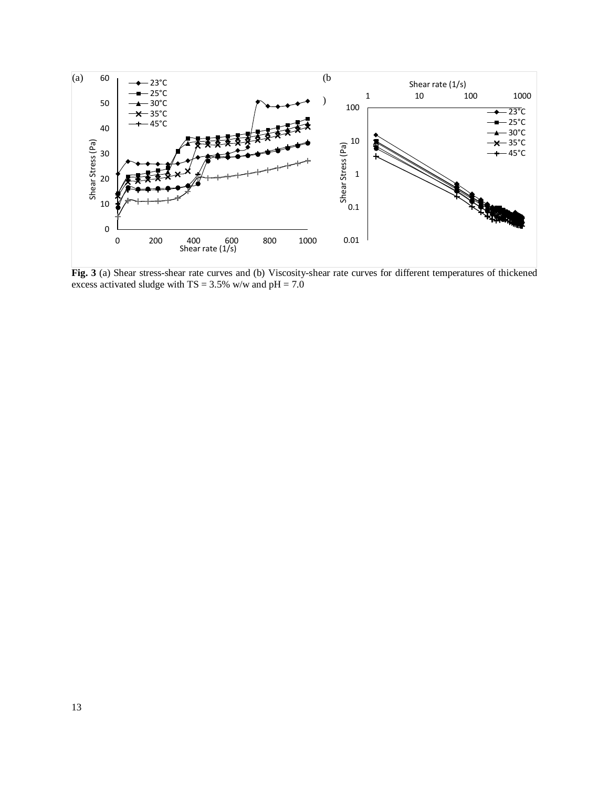

**Fig. 3** (a) Shear stress-shear rate curves and (b) Viscosity-shear rate curves for different temperatures of thickened excess activated sludge with  $TS = 3.5\%$  w/w and  $pH = 7.0$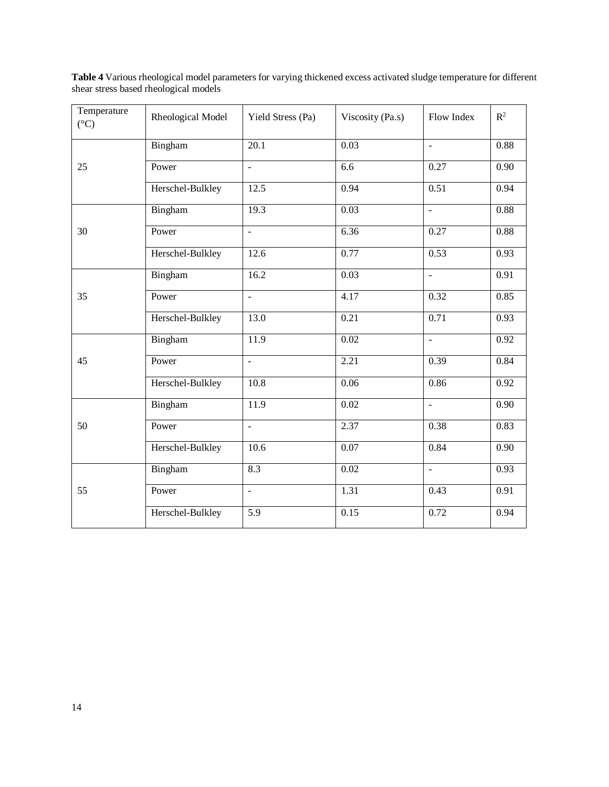| Temperature<br>$({}^{\circ}C)$ | Rheological Model | Yield Stress (Pa)        | Viscosity (Pa.s) | Flow Index               | $\mathbb{R}^2$ |
|--------------------------------|-------------------|--------------------------|------------------|--------------------------|----------------|
|                                | Bingham           | $\overline{20.1}$        | 0.03             | $\mathbb{L}^2$           | 0.88           |
| 25                             | Power             | $\omega$                 | 6.6              | 0.27                     | 0.90           |
|                                | Herschel-Bulkley  | 12.5                     | 0.94             | 0.51                     | 0.94           |
|                                | Bingham           | 19.3                     | 0.03             | $\overline{a}$           | 0.88           |
| 30                             | Power             | $\equiv$                 | 6.36             | 0.27                     | 0.88           |
|                                | Herschel-Bulkley  | 12.6                     | 0.77             | 0.53                     | 0.93           |
|                                | Bingham           | 16.2                     | 0.03             | $\frac{1}{2}$            | 0.91           |
| 35                             | Power             | $\overline{a}$           | 4.17             | 0.32                     | 0.85           |
|                                | Herschel-Bulkley  | 13.0                     | 0.21             | 0.71                     | 0.93           |
|                                | Bingham           | 11.9                     | 0.02             | $\Box$                   | 0.92           |
| 45                             | Power             | $\blacksquare$           | 2.21             | 0.39                     | 0.84           |
|                                | Herschel-Bulkley  | 10.8                     | 0.06             | 0.86                     | 0.92           |
|                                | Bingham           | 11.9                     | 0.02             | $\overline{\phantom{a}}$ | 0.90           |
| 50                             | Power             | $\blacksquare$           | 2.37             | 0.38                     | 0.83           |
|                                | Herschel-Bulkley  | 10.6                     | 0.07             | 0.84                     | 0.90           |
|                                | Bingham           | 8.3                      | 0.02             | $\omega$                 | 0.93           |
| 55                             | Power             | $\overline{\phantom{a}}$ | 1.31             | 0.43                     | 0.91           |
|                                | Herschel-Bulkley  | $\overline{5.9}$         | 0.15             | 0.72                     | 0.94           |

**Table 4** Various rheological model parameters for varying thickened excess activated sludge temperature for different shear stress based rheological models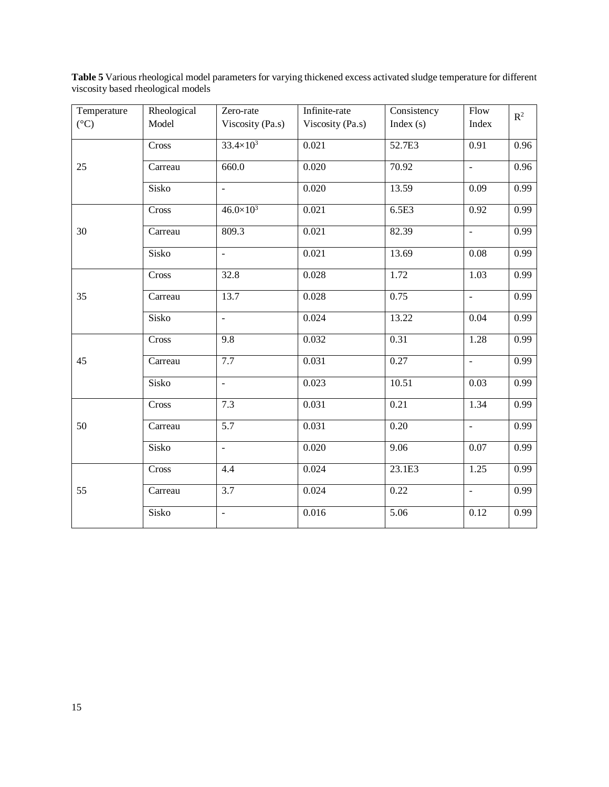| Temperature     | Rheological | Zero-rate                | Infinite-rate    | Consistency | Flow                     | $\mathbb{R}^2$ |
|-----------------|-------------|--------------------------|------------------|-------------|--------------------------|----------------|
| $({}^{\circ}C)$ | Model       | Viscosity (Pa.s)         | Viscosity (Pa.s) | Index $(s)$ | Index                    |                |
|                 | Cross       | $33.4 \times 10^{3}$     | 0.021            | 52.7E3      | 0.91                     | 0.96           |
| 25              | Carreau     | 660.0                    | 0.020            | 70.92       | $\bar{\phantom{a}}$      | 0.96           |
|                 | Sisko       | $\overline{a}$           | 0.020            | 13.59       | 0.09                     | 0.99           |
|                 | Cross       | $46.0 \times 10^{3}$     | 0.021            | 6.5E3       | 0.92                     | 0.99           |
| 30              | Carreau     | 809.3                    | 0.021            | 82.39       | $\Box$                   | 0.99           |
|                 | Sisko       | $\overline{\phantom{a}}$ | 0.021            | 13.69       | 0.08                     | 0.99           |
|                 | Cross       | 32.8                     | 0.028            | 1.72        | 1.03                     | 0.99           |
| 35              | Carreau     | 13.7                     | 0.028            | 0.75        | $\overline{\phantom{a}}$ | 0.99           |
|                 | Sisko       | $\blacksquare$           | 0.024            | 13.22       | 0.04                     | 0.99           |
| 45              | Cross       | 9.8                      | 0.032            | 0.31        | 1.28                     | 0.99           |
|                 | Carreau     | 7.7                      | 0.031            | 0.27        | $\omega$                 | 0.99           |
|                 | Sisko       | $\overline{\phantom{a}}$ | 0.023            | 10.51       | 0.03                     | 0.99           |
|                 | Cross       | 7.3                      | 0.031            | 0.21        | 1.34                     | 0.99           |
| 50              | Carreau     | 5.7                      | 0.031            | 0.20        | $\bar{\phantom{a}}$      | 0.99           |
|                 | Sisko       | $\overline{a}$           | 0.020            | 9.06        | 0.07                     | 0.99           |
|                 | Cross       | 4.4                      | 0.024            | 23.1E3      | 1.25                     | 0.99           |
| 55              | Carreau     | 3.7                      | 0.024            | 0.22        | $\mathbf{r}$             | 0.99           |
|                 | Sisko       | $\Box$                   | 0.016            | 5.06        | 0.12                     | 0.99           |

**Table 5** Various rheological model parameters for varying thickened excess activated sludge temperature for different viscosity based rheological models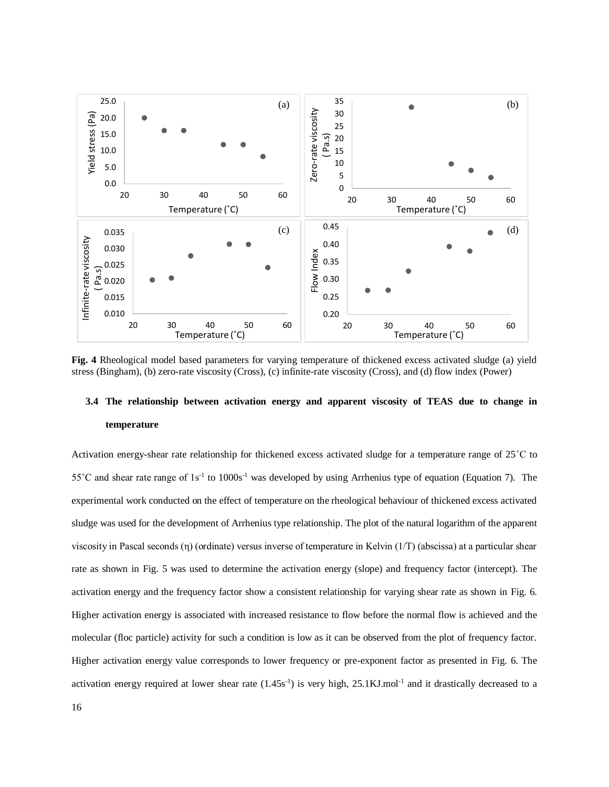

**Fig. 4** Rheological model based parameters for varying temperature of thickened excess activated sludge (a) yield stress (Bingham), (b) zero-rate viscosity (Cross), (c) infinite-rate viscosity (Cross), and (d) flow index (Power)

## **3.4 The relationship between activation energy and apparent viscosity of TEAS due to change in temperature**

Activation energy-shear rate relationship for thickened excess activated sludge for a temperature range of 25˚C to  $55^{\circ}$ C and shear rate range of  $1s^{-1}$  to  $1000s^{-1}$  was developed by using Arrhenius type of equation (Equation 7). The experimental work conducted on the effect of temperature on the rheological behaviour of thickened excess activated sludge was used for the development of Arrhenius type relationship. The plot of the natural logarithm of the apparent viscosity in Pascal seconds (η) (ordinate) versus inverse of temperature in Kelvin (1/T) (abscissa) at a particular shear rate as shown in Fig. 5 was used to determine the activation energy (slope) and frequency factor (intercept). The activation energy and the frequency factor show a consistent relationship for varying shear rate as shown in Fig. 6. Higher activation energy is associated with increased resistance to flow before the normal flow is achieved and the molecular (floc particle) activity for such a condition is low as it can be observed from the plot of frequency factor. Higher activation energy value corresponds to lower frequency or pre-exponent factor as presented in Fig. 6. The activation energy required at lower shear rate  $(1.45s^{-1})$  is very high, 25.1KJ.mol<sup>-1</sup> and it drastically decreased to a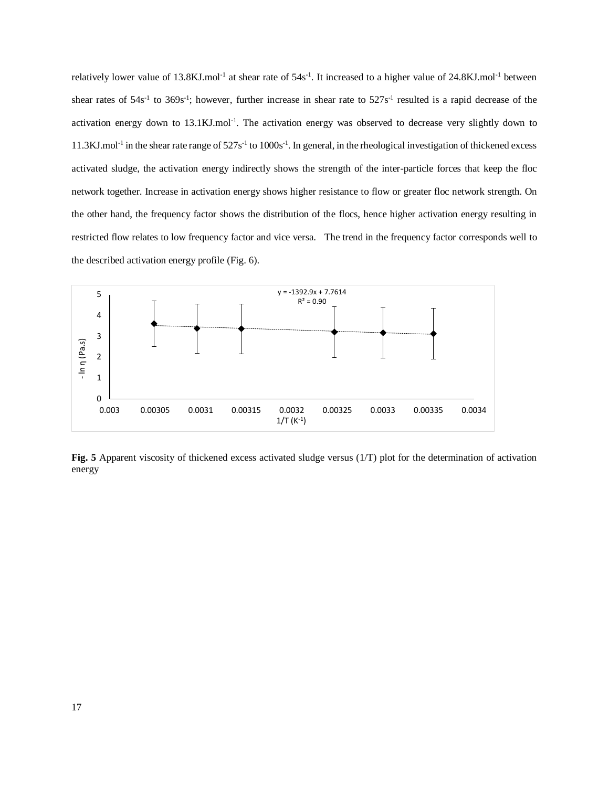relatively lower value of  $13.8$ KJ.mol<sup>-1</sup> at shear rate of  $54s<sup>-1</sup>$ . It increased to a higher value of  $24.8$ KJ.mol<sup>-1</sup> between shear rates of  $54s^{-1}$  to  $369s^{-1}$ ; however, further increase in shear rate to  $527s^{-1}$  resulted is a rapid decrease of the activation energy down to  $13.1 \text{KJ}$ .mol<sup>-1</sup>. The activation energy was observed to decrease very slightly down to  $11.3$ KJ.mol<sup>-1</sup> in the shear rate range of  $527s<sup>-1</sup>$  to  $1000s<sup>-1</sup>$ . In general, in the rheological investigation of thickened excess activated sludge, the activation energy indirectly shows the strength of the inter-particle forces that keep the floc network together. Increase in activation energy shows higher resistance to flow or greater floc network strength. On the other hand, the frequency factor shows the distribution of the flocs, hence higher activation energy resulting in restricted flow relates to low frequency factor and vice versa. The trend in the frequency factor corresponds well to the described activation energy profile (Fig. 6).



**Fig. 5** Apparent viscosity of thickened excess activated sludge versus (1/T) plot for the determination of activation energy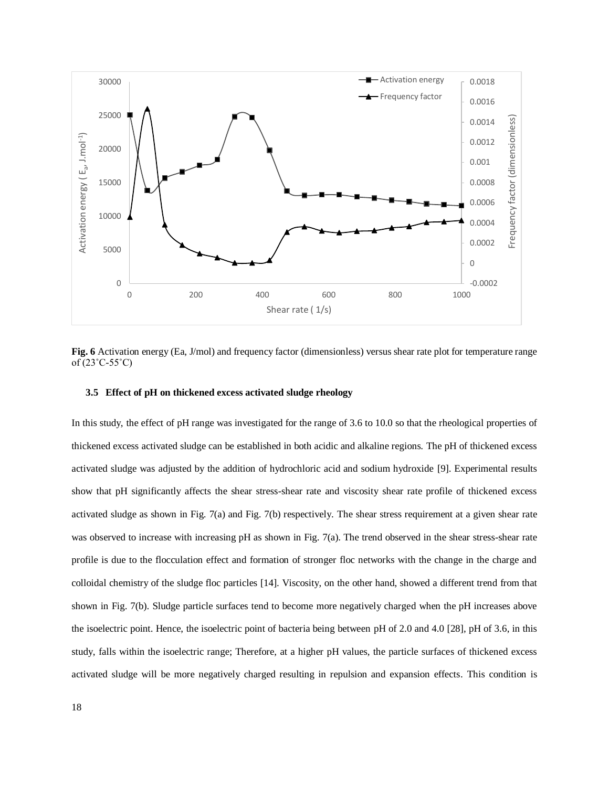

**Fig. 6** Activation energy (Ea, J/mol) and frequency factor (dimensionless) versus shear rate plot for temperature range of (23˚C-55˚C)

### **3.5 Effect of pH on thickened excess activated sludge rheology**

In this study, the effect of pH range was investigated for the range of 3.6 to 10.0 so that the rheological properties of thickened excess activated sludge can be established in both acidic and alkaline regions. The pH of thickened excess activated sludge was adjusted by the addition of hydrochloric acid and sodium hydroxide [9]. Experimental results show that pH significantly affects the shear stress-shear rate and viscosity shear rate profile of thickened excess activated sludge as shown in Fig. 7(a) and Fig. 7(b) respectively. The shear stress requirement at a given shear rate was observed to increase with increasing pH as shown in Fig. 7(a). The trend observed in the shear stress-shear rate profile is due to the flocculation effect and formation of stronger floc networks with the change in the charge and colloidal chemistry of the sludge floc particles [14]. Viscosity, on the other hand, showed a different trend from that shown in Fig. 7(b). Sludge particle surfaces tend to become more negatively charged when the pH increases above the isoelectric point. Hence, the isoelectric point of bacteria being between pH of 2.0 and 4.0 [28], pH of 3.6, in this study, falls within the isoelectric range; Therefore, at a higher pH values, the particle surfaces of thickened excess activated sludge will be more negatively charged resulting in repulsion and expansion effects. This condition is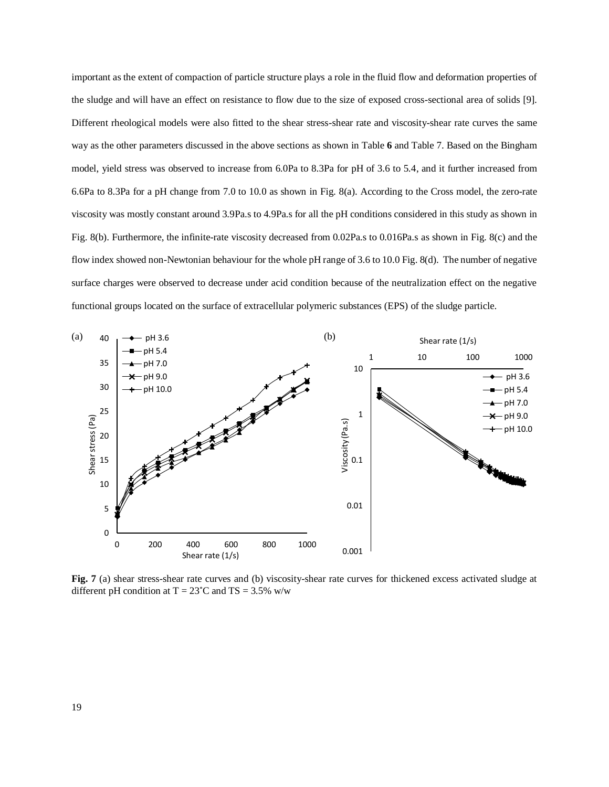important as the extent of compaction of particle structure plays a role in the fluid flow and deformation properties of the sludge and will have an effect on resistance to flow due to the size of exposed cross-sectional area of solids [9]. Different rheological models were also fitted to the shear stress-shear rate and viscosity-shear rate curves the same way as the other parameters discussed in the above sections as shown in Table **6** and Table 7. Based on the Bingham model, yield stress was observed to increase from 6.0Pa to 8.3Pa for pH of 3.6 to 5.4, and it further increased from 6.6Pa to 8.3Pa for a pH change from 7.0 to 10.0 as shown in Fig. 8(a). According to the Cross model, the zero-rate viscosity was mostly constant around 3.9Pa.s to 4.9Pa.s for all the pH conditions considered in this study as shown in Fig. 8(b). Furthermore, the infinite-rate viscosity decreased from 0.02Pa.s to 0.016Pa.s as shown in Fig. 8(c) and the flow index showed non-Newtonian behaviour for the whole pH range of 3.6 to 10.0 Fig. 8(d). The number of negative surface charges were observed to decrease under acid condition because of the neutralization effect on the negative functional groups located on the surface of extracellular polymeric substances (EPS) of the sludge particle.



**Fig. 7** (a) shear stress-shear rate curves and (b) viscosity-shear rate curves for thickened excess activated sludge at different pH condition at  $T = 23^{\circ}$ C and TS = 3.5% w/w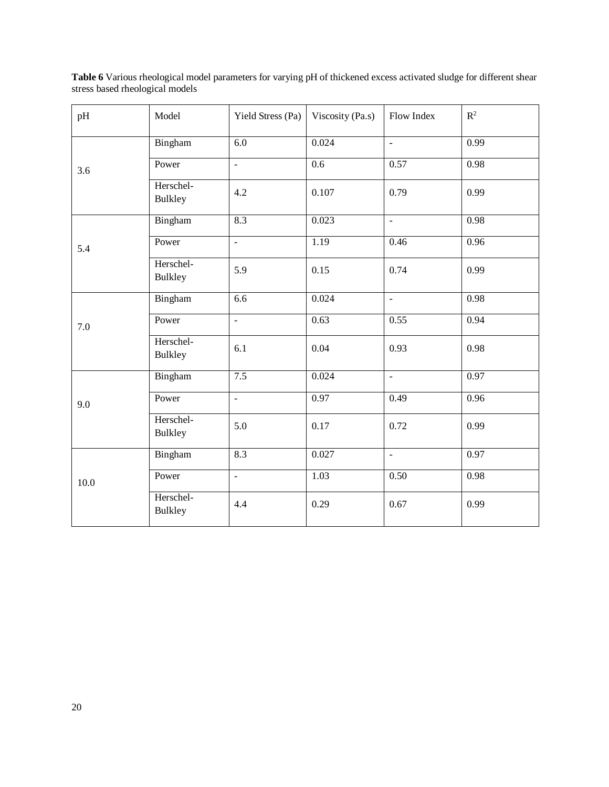| pH   | Model                       | Yield Stress (Pa)        | Viscosity (Pa.s) | Flow Index               | $\mathbb{R}^2$ |
|------|-----------------------------|--------------------------|------------------|--------------------------|----------------|
|      | Bingham                     | 6.0                      | 0.024            | $\omega$                 | 0.99           |
| 3.6  | Power                       | $\overline{a}$           | $\overline{0.6}$ | 0.57                     | 0.98           |
|      | Herschel-<br><b>Bulkley</b> | 4.2                      | 0.107            | 0.79                     | 0.99           |
|      | Bingham                     | 8.3                      | 0.023            | $\overline{\phantom{a}}$ | 0.98           |
| 5.4  | Power                       | $\overline{a}$           | 1.19             | 0.46                     | 0.96           |
|      | Herschel-<br><b>Bulkley</b> | 5.9                      | 0.15             | 0.74                     | 0.99           |
|      | Bingham                     | 6.6                      | 0.024            | $\equiv$                 | 0.98           |
| 7.0  | Power                       | $\overline{\phantom{a}}$ | 0.63             | 0.55                     | 0.94           |
|      | Herschel-<br><b>Bulkley</b> | 6.1                      | 0.04             | 0.93                     | 0.98           |
|      | Bingham                     | 7.5                      | 0.024            | $\omega$                 | 0.97           |
| 9.0  | Power                       | $\overline{a}$           | 0.97             | 0.49                     | 0.96           |
|      | Herschel-<br><b>Bulkley</b> | 5.0                      | 0.17             | 0.72                     | 0.99           |
|      | Bingham                     | 8.3                      | 0.027            | $\blacksquare$           | 0.97           |
| 10.0 | Power                       | $\overline{a}$           | 1.03             | 0.50                     | 0.98           |
|      | Herschel-<br>Bulkley        | 4.4                      | 0.29             | 0.67                     | 0.99           |

Table 6 Various rheological model parameters for varying pH of thickened excess activated sludge for different shear stress based rheological models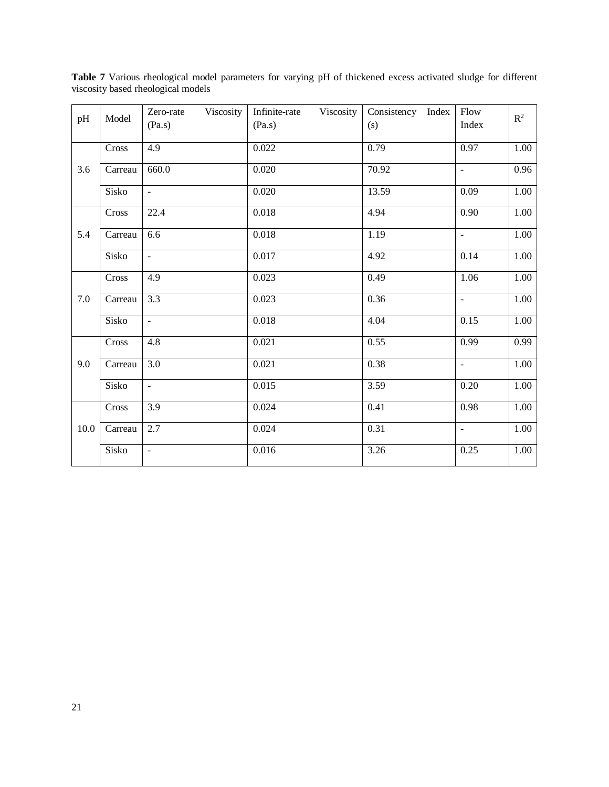| pH   | Model   | Viscosity<br>Zero-rate<br>(Pa.s) | Infinite-rate<br>Viscosity<br>(Pa.s) | Consistency<br>Index<br>(s) | Flow<br>Index       | $\mathbb{R}^2$ |
|------|---------|----------------------------------|--------------------------------------|-----------------------------|---------------------|----------------|
|      | Cross   | $\overline{4.9}$                 | 0.022                                | 0.79                        | 0.97                | 1.00           |
| 3.6  | Carreau | 660.0                            | 0.020                                | 70.92                       | ÷,                  | 0.96           |
|      | Sisko   | $\Box$                           | 0.020                                | 13.59                       | 0.09                | 1.00           |
|      | Cross   | 22.4                             | 0.018                                | 4.94                        | 0.90                | 1.00           |
| 5.4  | Carreau | 6.6                              | 0.018                                | $\overline{1.19}$           | $\blacksquare$      | 1.00           |
|      | Sisko   | $\overline{\phantom{a}}$         | 0.017                                | 4.92                        | 0.14                | $1.00\,$       |
|      | Cross   | 4.9                              | 0.023                                | 0.49                        | 1.06                | 1.00           |
| 7.0  | Carreau | 3.3                              | 0.023                                | 0.36                        | $\bar{\phantom{a}}$ | 1.00           |
|      | Sisko   | $\Box$                           | 0.018                                | 4.04                        | 0.15                | 1.00           |
|      | Cross   | 4.8                              | 0.021                                | 0.55                        | 0.99                | 0.99           |
| 9.0  | Carreau | $\overline{3.0}$                 | 0.021                                | 0.38                        | $\bar{\phantom{a}}$ | 1.00           |
|      | Sisko   | $\frac{1}{2}$                    | 0.015                                | 3.59                        | 0.20                | 1.00           |
|      | Cross   | 3.9                              | 0.024                                | 0.41                        | 0.98                | 1.00           |
| 10.0 | Carreau | 2.7                              | 0.024                                | 0.31                        | $\equiv$            | 1.00           |
|      | Sisko   | $\blacksquare$                   | 0.016                                | 3.26                        | 0.25                | 1.00           |
|      |         |                                  |                                      |                             |                     |                |

**Table 7** Various rheological model parameters for varying pH of thickened excess activated sludge for different viscosity based rheological models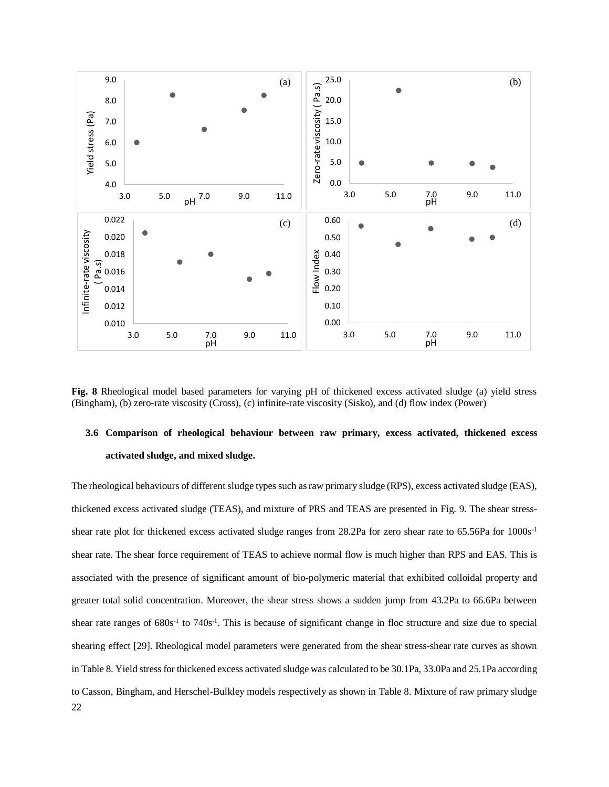

**Fig. 8** Rheological model based parameters for varying pH of thickened excess activated sludge (a) yield stress (Bingham), (b) zero-rate viscosity (Cross), (c) infinite-rate viscosity (Sisko), and (d) flow index (Power)

## **3.6 Comparison of rheological behaviour between raw primary, excess activated, thickened excess activated sludge, and mixed sludge.**

22 The rheological behaviours of different sludge types such asraw primary sludge (RPS), excess activated sludge (EAS), thickened excess activated sludge (TEAS), and mixture of PRS and TEAS are presented in Fig. 9. The shear stressshear rate plot for thickened excess activated sludge ranges from 28.2Pa for zero shear rate to 65.56Pa for 1000s-1 shear rate. The shear force requirement of TEAS to achieve normal flow is much higher than RPS and EAS. This is associated with the presence of significant amount of bio-polymeric material that exhibited colloidal property and greater total solid concentration. Moreover, the shear stress shows a sudden jump from 43.2Pa to 66.6Pa between shear rate ranges of 680s<sup>-1</sup> to 740s<sup>-1</sup>. This is because of significant change in floc structure and size due to special shearing effect [29]. Rheological model parameters were generated from the shear stress-shear rate curves as shown in Table 8. Yield stress for thickened excess activated sludge was calculated to be 30.1Pa, 33.0Pa and 25.1Pa according to Casson, Bingham, and Herschel-Bulkley models respectively as shown in Table 8. Mixture of raw primary sludge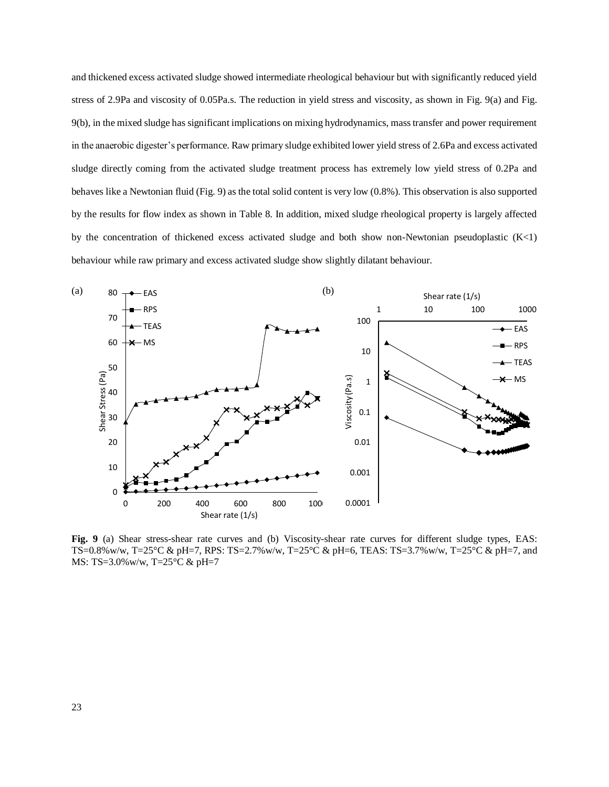and thickened excess activated sludge showed intermediate rheological behaviour but with significantly reduced yield stress of 2.9Pa and viscosity of 0.05Pa.s. The reduction in yield stress and viscosity, as shown in Fig. 9(a) and Fig. 9(b), in the mixed sludge has significant implications on mixing hydrodynamics, mass transfer and power requirement in the anaerobic digester's performance. Raw primary sludge exhibited lower yield stress of 2.6Pa and excess activated sludge directly coming from the activated sludge treatment process has extremely low yield stress of 0.2Pa and behaves like a Newtonian fluid (Fig. 9) as the total solid content is very low (0.8%). This observation is also supported by the results for flow index as shown in Table 8. In addition, mixed sludge rheological property is largely affected by the concentration of thickened excess activated sludge and both show non-Newtonian pseudoplastic  $(K<1)$ behaviour while raw primary and excess activated sludge show slightly dilatant behaviour.



**Fig. 9** (a) Shear stress-shear rate curves and (b) Viscosity-shear rate curves for different sludge types, EAS: TS=0.8%w/w, T=25°C & pH=7, RPS: TS=2.7%w/w, T=25°C & pH=6, TEAS: TS=3.7%w/w, T=25°C & pH=7, and MS: TS=3.0%w/w, T=25°C & pH=7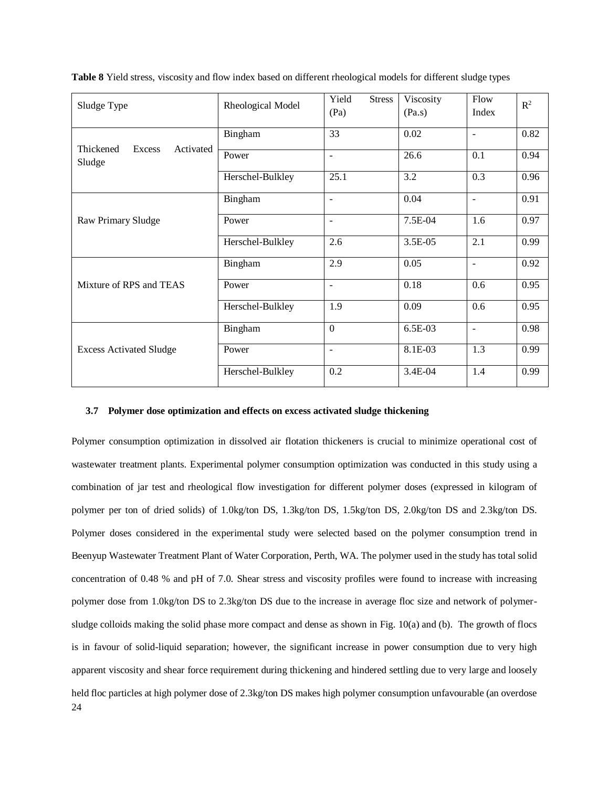| Sludge Type                      | Rheological Model | Yield<br><b>Stress</b><br>(Pa) | Viscosity<br>(Pa.s) | Flow<br>Index            | $\mathbb{R}^2$ |
|----------------------------------|-------------------|--------------------------------|---------------------|--------------------------|----------------|
| Thickened<br>Excess<br>Activated | Bingham           | 33                             | 0.02                | ۳                        | 0.82           |
| Sludge                           | Power             | $\blacksquare$                 | 26.6                | 0.1                      | 0.94           |
|                                  | Herschel-Bulkley  | 25.1                           | 3.2                 | 0.3                      | 0.96           |
|                                  | Bingham           | $\blacksquare$                 | 0.04                | $\blacksquare$           | 0.91           |
| Raw Primary Sludge               | Power             | $\overline{\phantom{a}}$       | 7.5E-04             | 1.6                      | 0.97           |
|                                  | Herschel-Bulkley  | 2.6                            | 3.5E-05             | 2.1                      | 0.99           |
|                                  | Bingham           | 2.9                            | 0.05                | ÷                        | 0.92           |
| Mixture of RPS and TEAS          | Power             | $\blacksquare$                 | 0.18                | 0.6                      | 0.95           |
|                                  | Herschel-Bulkley  | 1.9                            | 0.09                | 0.6                      | 0.95           |
|                                  | Bingham           | $\mathbf{0}$                   | 6.5E-03             | $\overline{\phantom{a}}$ | 0.98           |
| <b>Excess Activated Sludge</b>   | Power             | $\overline{\phantom{a}}$       | 8.1E-03             | 1.3                      | 0.99           |
|                                  | Herschel-Bulkley  | 0.2                            | 3.4E-04             | 1.4                      | 0.99           |

**Table 8** Yield stress, viscosity and flow index based on different rheological models for different sludge types

#### **3.7 Polymer dose optimization and effects on excess activated sludge thickening**

24 Polymer consumption optimization in dissolved air flotation thickeners is crucial to minimize operational cost of wastewater treatment plants. Experimental polymer consumption optimization was conducted in this study using a combination of jar test and rheological flow investigation for different polymer doses (expressed in kilogram of polymer per ton of dried solids) of 1.0kg/ton DS, 1.3kg/ton DS, 1.5kg/ton DS, 2.0kg/ton DS and 2.3kg/ton DS. Polymer doses considered in the experimental study were selected based on the polymer consumption trend in Beenyup Wastewater Treatment Plant of Water Corporation, Perth, WA. The polymer used in the study has total solid concentration of 0.48 % and pH of 7.0. Shear stress and viscosity profiles were found to increase with increasing polymer dose from 1.0kg/ton DS to 2.3kg/ton DS due to the increase in average floc size and network of polymersludge colloids making the solid phase more compact and dense as shown in Fig. 10(a) and (b). The growth of flocs is in favour of solid-liquid separation; however, the significant increase in power consumption due to very high apparent viscosity and shear force requirement during thickening and hindered settling due to very large and loosely held floc particles at high polymer dose of 2.3kg/ton DS makes high polymer consumption unfavourable (an overdose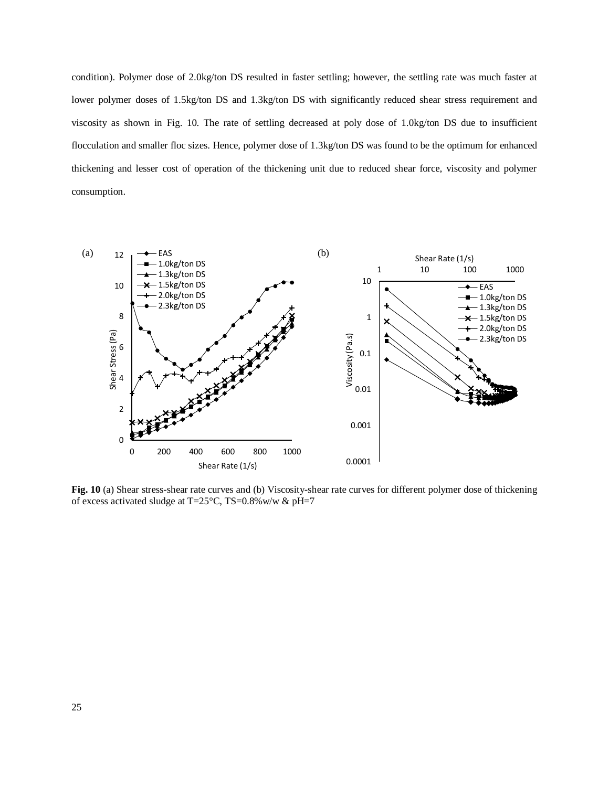condition). Polymer dose of 2.0kg/ton DS resulted in faster settling; however, the settling rate was much faster at lower polymer doses of 1.5kg/ton DS and 1.3kg/ton DS with significantly reduced shear stress requirement and viscosity as shown in Fig. 10. The rate of settling decreased at poly dose of 1.0kg/ton DS due to insufficient flocculation and smaller floc sizes. Hence, polymer dose of 1.3kg/ton DS was found to be the optimum for enhanced thickening and lesser cost of operation of the thickening unit due to reduced shear force, viscosity and polymer consumption.



**Fig. 10** (a) Shear stress-shear rate curves and (b) Viscosity-shear rate curves for different polymer dose of thickening of excess activated sludge at T=25°C, TS=0.8%w/w & pH=7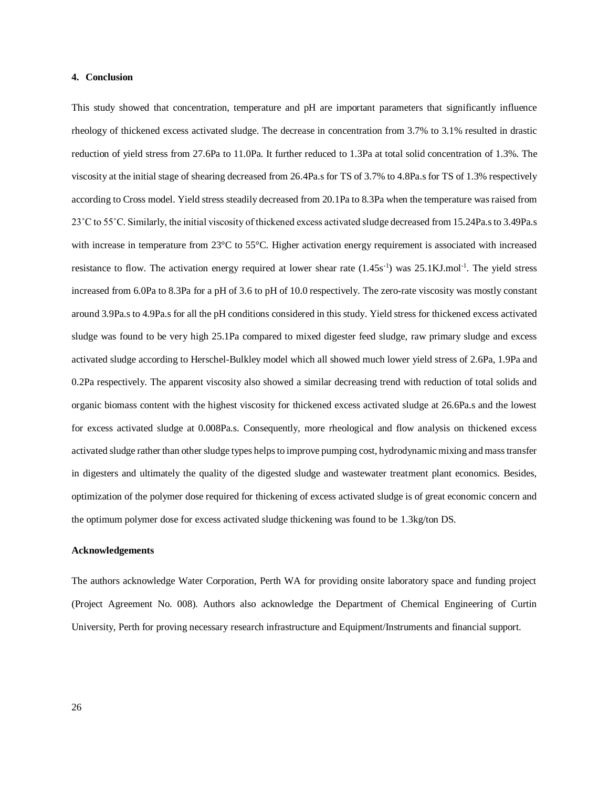## **4. Conclusion**

This study showed that concentration, temperature and pH are important parameters that significantly influence rheology of thickened excess activated sludge. The decrease in concentration from 3.7% to 3.1% resulted in drastic reduction of yield stress from 27.6Pa to 11.0Pa. It further reduced to 1.3Pa at total solid concentration of 1.3%. The viscosity at the initial stage of shearing decreased from 26.4Pa.s for TS of 3.7% to 4.8Pa.s for TS of 1.3% respectively according to Cross model. Yield stress steadily decreased from 20.1Pa to 8.3Pa when the temperature was raised from 23˚C to 55˚C. Similarly, the initial viscosity of thickened excess activated sludge decreased from 15.24Pa.s to 3.49Pa.s with increase in temperature from 23°C to 55°C. Higher activation energy requirement is associated with increased resistance to flow. The activation energy required at lower shear rate  $(1.45s<sup>-1</sup>)$  was 25.1KJ.mol<sup>-1</sup>. The yield stress increased from 6.0Pa to 8.3Pa for a pH of 3.6 to pH of 10.0 respectively. The zero-rate viscosity was mostly constant around 3.9Pa.s to 4.9Pa.s for all the pH conditions considered in this study. Yield stress for thickened excess activated sludge was found to be very high 25.1Pa compared to mixed digester feed sludge, raw primary sludge and excess activated sludge according to Herschel-Bulkley model which all showed much lower yield stress of 2.6Pa, 1.9Pa and 0.2Pa respectively. The apparent viscosity also showed a similar decreasing trend with reduction of total solids and organic biomass content with the highest viscosity for thickened excess activated sludge at 26.6Pa.s and the lowest for excess activated sludge at 0.008Pa.s. Consequently, more rheological and flow analysis on thickened excess activated sludge rather than other sludge types helps to improve pumping cost, hydrodynamic mixing and mass transfer in digesters and ultimately the quality of the digested sludge and wastewater treatment plant economics. Besides, optimization of the polymer dose required for thickening of excess activated sludge is of great economic concern and the optimum polymer dose for excess activated sludge thickening was found to be 1.3kg/ton DS.

#### **Acknowledgements**

The authors acknowledge Water Corporation, Perth WA for providing onsite laboratory space and funding project (Project Agreement No. 008). Authors also acknowledge the Department of Chemical Engineering of Curtin University, Perth for proving necessary research infrastructure and Equipment/Instruments and financial support.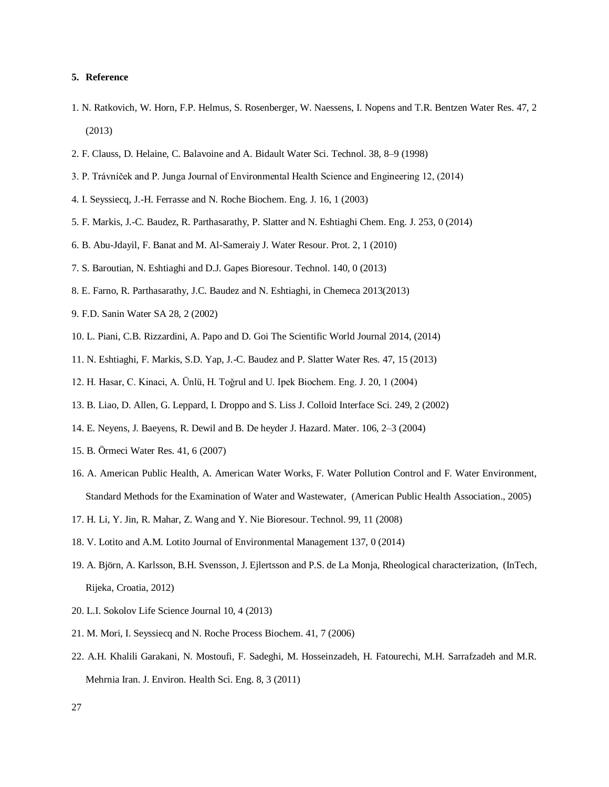## **5. Reference**

- 1. N. Ratkovich, W. Horn, F.P. Helmus, S. Rosenberger, W. Naessens, I. Nopens and T.R. Bentzen Water Res. 47, 2 (2013)
- 2. F. Clauss, D. Helaine, C. Balavoine and A. Bidault Water Sci. Technol. 38, 8–9 (1998)
- 3. P. Trávníček and P. Junga Journal of Environmental Health Science and Engineering 12, (2014)
- 4. I. Seyssiecq, J.-H. Ferrasse and N. Roche Biochem. Eng. J. 16, 1 (2003)
- 5. F. Markis, J.-C. Baudez, R. Parthasarathy, P. Slatter and N. Eshtiaghi Chem. Eng. J. 253, 0 (2014)
- 6. B. Abu-Jdayil, F. Banat and M. Al-Sameraiy J. Water Resour. Prot. 2, 1 (2010)
- 7. S. Baroutian, N. Eshtiaghi and D.J. Gapes Bioresour. Technol. 140, 0 (2013)
- 8. E. Farno, R. Parthasarathy, J.C. Baudez and N. Eshtiaghi, in Chemeca 2013(2013)
- 9. F.D. Sanin Water SA 28, 2 (2002)
- 10. L. Piani, C.B. Rizzardini, A. Papo and D. Goi The Scientific World Journal 2014, (2014)
- 11. N. Eshtiaghi, F. Markis, S.D. Yap, J.-C. Baudez and P. Slatter Water Res. 47, 15 (2013)
- 12. H. Hasar, C. Kinaci, A. Ünlü, H. Toǧrul and U. Ipek Biochem. Eng. J. 20, 1 (2004)
- 13. B. Liao, D. Allen, G. Leppard, I. Droppo and S. Liss J. Colloid Interface Sci. 249, 2 (2002)
- 14. E. Neyens, J. Baeyens, R. Dewil and B. De heyder J. Hazard. Mater. 106, 2–3 (2004)
- 15. B. Örmeci Water Res. 41, 6 (2007)
- 16. A. American Public Health, A. American Water Works, F. Water Pollution Control and F. Water Environment, Standard Methods for the Examination of Water and Wastewater, (American Public Health Association., 2005)
- 17. H. Li, Y. Jin, R. Mahar, Z. Wang and Y. Nie Bioresour. Technol. 99, 11 (2008)
- 18. V. Lotito and A.M. Lotito Journal of Environmental Management 137, 0 (2014)
- 19. A. Björn, A. Karlsson, B.H. Svensson, J. Ejlertsson and P.S. de La Monja, Rheological characterization, (InTech, Rijeka, Croatia, 2012)
- 20. L.I. Sokolov Life Science Journal 10, 4 (2013)
- 21. M. Mori, I. Seyssiecq and N. Roche Process Biochem. 41, 7 (2006)
- 22. A.H. Khalili Garakani, N. Mostoufi, F. Sadeghi, M. Hosseinzadeh, H. Fatourechi, M.H. Sarrafzadeh and M.R. Mehrnia Iran. J. Environ. Health Sci. Eng. 8, 3 (2011)